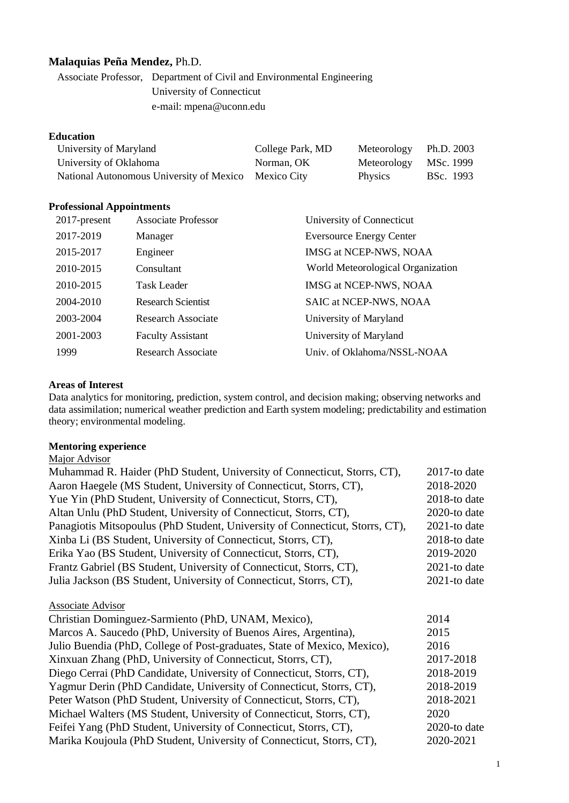# **Malaquias Peña Mendez,** Ph.D.

Associate Professor, Department of Civil and Environmental Engineering University of Connecticut e-mail: mpena@uconn.edu

#### **Education**

| University of Maryland                               | College Park, MD | Meteorology Ph.D. 2003 |           |
|------------------------------------------------------|------------------|------------------------|-----------|
| University of Oklahoma                               | Norman, OK       | Meteorology MSc. 1999  |           |
| National Autonomous University of Mexico Mexico City |                  | Physics                | BSc. 1993 |

#### **Professional Appointments**

| 2017-present | <b>Associate Professor</b> | University of Connecticut         |
|--------------|----------------------------|-----------------------------------|
| 2017-2019    | Manager                    | <b>Eversource Energy Center</b>   |
| 2015-2017    | Engineer                   | IMSG at NCEP-NWS, NOAA            |
| 2010-2015    | Consultant                 | World Meteorological Organization |
| 2010-2015    | <b>Task Leader</b>         | IMSG at NCEP-NWS, NOAA            |
| 2004-2010    | <b>Research Scientist</b>  | SAIC at NCEP-NWS, NOAA            |
| 2003-2004    | <b>Research Associate</b>  | University of Maryland            |
| 2001-2003    | <b>Faculty Assistant</b>   | University of Maryland            |
| 1999         | Research Associate         | Univ. of Oklahoma/NSSL-NOAA       |

#### **Areas of Interest**

Data analytics for monitoring, prediction, system control, and decision making; observing networks and data assimilation; numerical weather prediction and Earth system modeling; predictability and estimation theory; environmental modeling.

#### **Mentoring experience**  Major Advisor

| ічајог дичыл                                                                 |                 |
|------------------------------------------------------------------------------|-----------------|
| Muhammad R. Haider (PhD Student, University of Connecticut, Storrs, CT),     | $2017$ -to date |
| Aaron Haegele (MS Student, University of Connecticut, Storrs, CT),           | 2018-2020       |
| Yue Yin (PhD Student, University of Connecticut, Storrs, CT),                | 2018-to date    |
| Altan Unlu (PhD Student, University of Connecticut, Storrs, CT),             | 2020-to date    |
| Panagiotis Mitsopoulus (PhD Student, University of Connecticut, Storrs, CT), | $2021$ -to date |
| Xinba Li (BS Student, University of Connecticut, Storrs, CT),                | 2018-to date    |
| Erika Yao (BS Student, University of Connecticut, Storrs, CT),               | 2019-2020       |
| Frantz Gabriel (BS Student, University of Connecticut, Storrs, CT),          | $2021$ -to date |
| Julia Jackson (BS Student, University of Connecticut, Storrs, CT),           | $2021$ -to date |
| Associate Advisor                                                            |                 |
| Christian Dominguez-Sarmiento (PhD, UNAM, Mexico),                           | 2014            |
| Marcos A. Saucedo (PhD, University of Buenos Aires, Argentina),              | 2015            |
| Julio Buendia (PhD, College of Post-graduates, State of Mexico, Mexico),     | 2016            |
| Xinxuan Zhang (PhD, University of Connecticut, Storrs, CT),                  | 2017-2018       |
| Diego Cerrai (PhD Candidate, University of Connecticut, Storrs, CT),         | 2018-2019       |
| Yagmur Derin (PhD Candidate, University of Connecticut, Storrs, CT),         | 2018-2019       |
| Peter Watson (PhD Student, University of Connecticut, Storrs, CT),           | 2018-2021       |
| Michael Walters (MS Student, University of Connecticut, Storrs, CT),         | 2020            |
| Feifei Yang (PhD Student, University of Connecticut, Storrs, CT),            | 2020-to date    |
| Marika Koujoula (PhD Student, University of Connecticut, Storrs, CT),        | 2020-2021       |
|                                                                              |                 |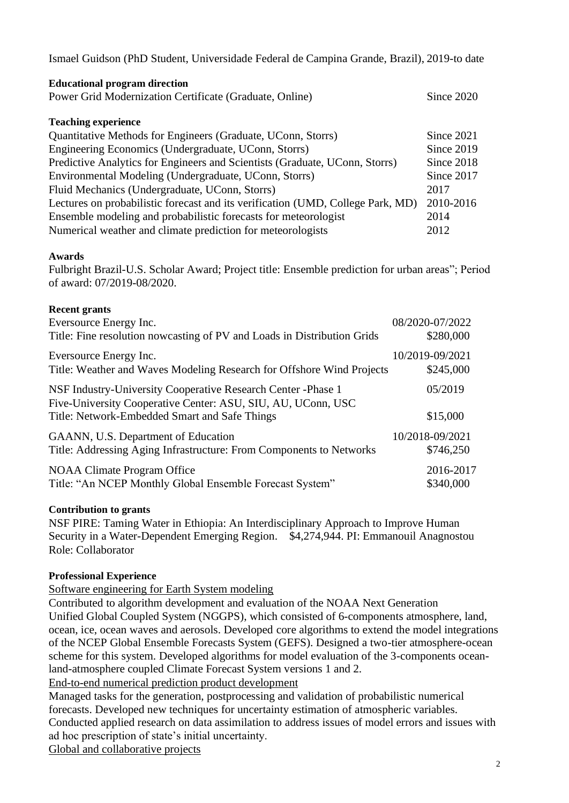Ismael Guidson (PhD Student, Universidade Federal de Campina Grande, Brazil), 2019-to date

| <b>Educational program direction</b>                                            |            |
|---------------------------------------------------------------------------------|------------|
| Power Grid Modernization Certificate (Graduate, Online)                         |            |
|                                                                                 |            |
| <b>Teaching experience</b>                                                      |            |
| Quantitative Methods for Engineers (Graduate, UConn, Storrs)                    | Since 2021 |
| Engineering Economics (Undergraduate, UConn, Storrs)                            | Since 2019 |
| Predictive Analytics for Engineers and Scientists (Graduate, UConn, Storrs)     | Since 2018 |
| Environmental Modeling (Undergraduate, UConn, Storrs)                           | Since 2017 |
| Fluid Mechanics (Undergraduate, UConn, Storrs)                                  | 2017       |
| Lectures on probabilistic forecast and its verification (UMD, College Park, MD) | 2010-2016  |
| Ensemble modeling and probabilistic forecasts for meteorologist                 | 2014       |
| Numerical weather and climate prediction for meteorologists                     | 2012       |

# **Awards**

Fulbright Brazil-U.S. Scholar Award; Project title: Ensemble prediction for urban areas"; Period of award: 07/2019-08/2020.

#### **Recent grants**

| Eversource Energy Inc.                                                                                                                                                        | 08/2020-07/2022     |
|-------------------------------------------------------------------------------------------------------------------------------------------------------------------------------|---------------------|
| Title: Fine resolution nowcasting of PV and Loads in Distribution Grids                                                                                                       | \$280,000           |
| Eversource Energy Inc.                                                                                                                                                        | 10/2019-09/2021     |
| Title: Weather and Waves Modeling Research for Offshore Wind Projects                                                                                                         | \$245,000           |
| NSF Industry-University Cooperative Research Center -Phase 1<br>Five-University Cooperative Center: ASU, SIU, AU, UConn, USC<br>Title: Network-Embedded Smart and Safe Things | 05/2019<br>\$15,000 |
| GAANN, U.S. Department of Education                                                                                                                                           | 10/2018-09/2021     |
| Title: Addressing Aging Infrastructure: From Components to Networks                                                                                                           | \$746,250           |
| <b>NOAA Climate Program Office</b>                                                                                                                                            | 2016-2017           |
| Title: "An NCEP Monthly Global Ensemble Forecast System"                                                                                                                      | \$340,000           |

#### **Contribution to grants**

NSF PIRE: Taming Water in Ethiopia: An Interdisciplinary Approach to Improve Human Security in a Water-Dependent Emerging Region. \$4,274,944. PI: Emmanouil Anagnostou Role: Collaborator

# **Professional Experience**

Software engineering for Earth System modeling

Contributed to algorithm development and evaluation of the NOAA Next Generation Unified Global Coupled System (NGGPS), which consisted of 6-components atmosphere, land, ocean, ice, ocean waves and aerosols. Developed core algorithms to extend the model integrations of the NCEP Global Ensemble Forecasts System (GEFS). Designed a two-tier atmosphere-ocean scheme for this system. Developed algorithms for model evaluation of the 3-components oceanland-atmosphere coupled Climate Forecast System versions 1 and 2.

End-to-end numerical prediction product development

Managed tasks for the generation, postprocessing and validation of probabilistic numerical forecasts. Developed new techniques for uncertainty estimation of atmospheric variables. Conducted applied research on data assimilation to address issues of model errors and issues with ad hoc prescription of state's initial uncertainty.

Global and collaborative projects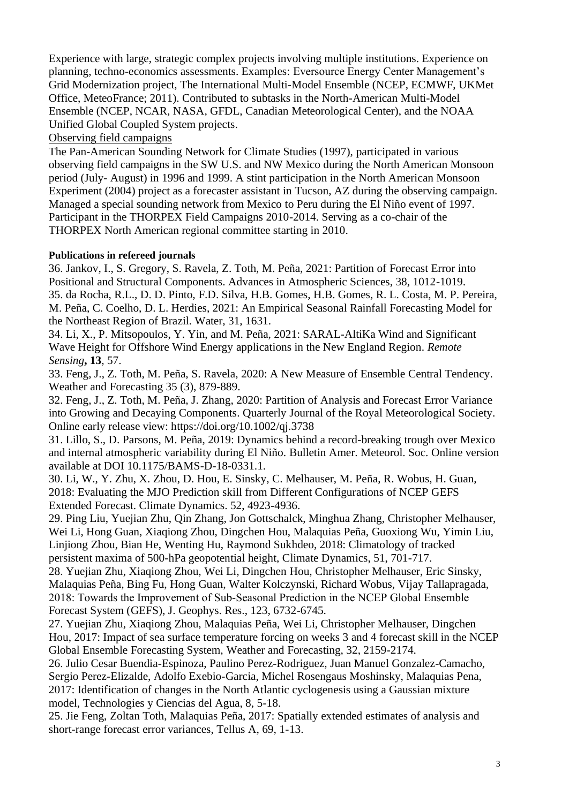Experience with large, strategic complex projects involving multiple institutions. Experience on planning, techno-economics assessments. Examples: Eversource Energy Center Management's Grid Modernization project, The International Multi-Model Ensemble (NCEP, ECMWF, UKMet Office, MeteoFrance; 2011). Contributed to subtasks in the North-American Multi-Model Ensemble (NCEP, NCAR, NASA, GFDL, Canadian Meteorological Center), and the NOAA Unified Global Coupled System projects.

Observing field campaigns

The Pan-American Sounding Network for Climate Studies (1997), participated in various observing field campaigns in the SW U.S. and NW Mexico during the North American Monsoon period (July- August) in 1996 and 1999. A stint participation in the North American Monsoon Experiment (2004) project as a forecaster assistant in Tucson, AZ during the observing campaign. Managed a special sounding network from Mexico to Peru during the El Niño event of 1997. Participant in the THORPEX Field Campaigns 2010-2014. Serving as a co-chair of the THORPEX North American regional committee starting in 2010.

# **Publications in refereed journals**

36. Jankov, I., S. Gregory, S. Ravela, Z. Toth, M. Peña, 2021: Partition of Forecast Error into Positional and Structural Components. Advances in Atmospheric Sciences, 38, 1012-1019. 35. da Rocha, R.L., D. D. Pinto, F.D. Silva, H.B. Gomes, H.B. Gomes, R. L. Costa, M. P. Pereira, M. Peña, C. Coelho, D. L. Herdies, 2021: An Empirical Seasonal Rainfall Forecasting Model for the Northeast Region of Brazil. Water, 31, 1631.

34. Li, X., P. Mitsopoulos, Y. Yin, and M. Peña, 2021: SARAL-AltiKa Wind and Significant Wave Height for Offshore Wind Energy applications in the New England Region. *Remote Sensing***, 13***,* 57.

33. Feng, J., Z. Toth, M. Peña, S. Ravela, 2020: A New Measure of Ensemble Central Tendency. Weather and Forecasting 35 (3), 879-889.

32. Feng, J., Z. Toth, M. Peña, J. Zhang, 2020: Partition of Analysis and Forecast Error Variance into Growing and Decaying Components. Quarterly Journal of the Royal Meteorological Society. Online early release view: https://doi.org/10.1002/qj.3738

31. Lillo, S., D. Parsons, M. Peña, 2019: Dynamics behind a record-breaking trough over Mexico and internal atmospheric variability during El Niño. Bulletin Amer. Meteorol. Soc. Online version available at DOI 10.1175/BAMS-D-18-0331.1.

30. Li, W., Y. Zhu, X. Zhou, D. Hou, E. Sinsky, C. Melhauser, M. Peña, R. Wobus, H. Guan, 2018: Evaluating the MJO Prediction skill from Different Configurations of NCEP GEFS Extended Forecast. Climate Dynamics. 52, 4923-4936.

29. Ping Liu, Yuejian Zhu, Qin Zhang, Jon Gottschalck, Minghua Zhang, Christopher Melhauser, Wei Li, Hong Guan, Xiaqiong Zhou, Dingchen Hou, Malaquias Peña, Guoxiong Wu, Yimin Liu, Linjiong Zhou, Bian He, Wenting Hu, Raymond Sukhdeo, 2018: Climatology of tracked persistent maxima of 500-hPa geopotential height, Climate Dynamics, 51, 701-717.

28. Yuejian Zhu, Xiaqiong Zhou, Wei Li, Dingchen Hou, Christopher Melhauser, Eric Sinsky, Malaquias Peña, Bing Fu, Hong Guan, Walter Kolczynski, Richard Wobus, Vijay Tallapragada, 2018: Towards the Improvement of Sub‐Seasonal Prediction in the NCEP Global Ensemble Forecast System (GEFS), J. Geophys. Res., 123, 6732-6745.

27. Yuejian Zhu, Xiaqiong Zhou, Malaquias Peña, Wei Li, Christopher Melhauser, Dingchen Hou, 2017: Impact of sea surface temperature forcing on weeks 3 and 4 forecast skill in the NCEP Global Ensemble Forecasting System, Weather and Forecasting, 32, 2159-2174.

26. Julio Cesar Buendia-Espinoza, Paulino Perez-Rodriguez, Juan Manuel Gonzalez-Camacho, Sergio Perez-Elizalde, Adolfo Exebio-Garcia, Michel Rosengaus Moshinsky, Malaquias Pena, 2017: Identification of changes in the North Atlantic cyclogenesis using a Gaussian mixture model, Technologies y Ciencias del Agua, 8, 5-18.

25. Jie Feng, Zoltan Toth, Malaquias Peña, 2017: Spatially extended estimates of analysis and short-range forecast error variances, Tellus A, 69, 1-13.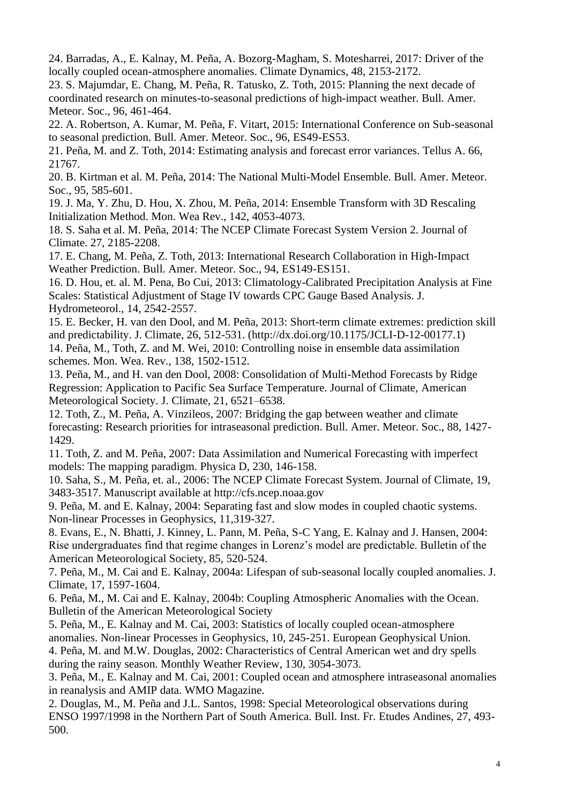24. Barradas, A., E. Kalnay, M. Peña, A. Bozorg-Magham, S. Motesharrei, 2017: Driver of the locally coupled ocean-atmosphere anomalies. Climate Dynamics, 48, 2153-2172.

23. S. Majumdar, E. Chang, M. Peña, R. Tatusko, Z. Toth, 2015: Planning the next decade of coordinated research on minutes-to-seasonal predictions of high-impact weather. Bull. Amer. Meteor. Soc., 96, 461-464.

22. A. Robertson, A. Kumar, M. Peña, F. Vitart, 2015: International Conference on Sub-seasonal to seasonal prediction. Bull. Amer. Meteor. Soc., 96, ES49-ES53.

21. Peña, M. and Z. Toth, 2014: Estimating analysis and forecast error variances. Tellus A. 66, 21767.

20. B. Kirtman et al. M. Peña, 2014: The National Multi-Model Ensemble. Bull. Amer. Meteor. Soc., 95, 585-601.

19. J. Ma, Y. Zhu, D. Hou, X. Zhou, M. Peña, 2014: Ensemble Transform with 3D Rescaling Initialization Method. Mon. Wea Rev., 142, 4053-4073.

18. S. Saha et al. M. Peña, 2014: The NCEP Climate Forecast System Version 2. Journal of Climate. 27, 2185-2208.

17. E. Chang, M. Peña, Z. Toth, 2013: International Research Collaboration in High-Impact Weather Prediction. Bull. Amer. Meteor. Soc., 94, ES149-ES151.

16. D. Hou, et. al. M. Pena, Bo Cui, 2013: Climatology-Calibrated Precipitation Analysis at Fine Scales: Statistical Adjustment of Stage IV towards CPC Gauge Based Analysis. J. Hydrometeorol., 14, 2542-2557.

15. E. Becker, H. van den Dool, and M. Peña, 2013: Short-term climate extremes: prediction skill and predictability. J. Climate, 26, 512-531. (http://dx.doi.org/10.1175/JCLI-D-12-00177.1) 14. Peña, M., Toth, Z. and M. Wei, 2010: Controlling noise in ensemble data assimilation schemes. Mon. Wea. Rev., 138, 1502-1512.

13. Peña, M., and H. van den Dool, 2008: Consolidation of Multi-Method Forecasts by Ridge Regression: Application to Pacific Sea Surface Temperature. Journal of Climate, American Meteorological Society. J. Climate, 21, 6521–6538.

12. Toth, Z., M. Peña, A. Vinzileos, 2007: Bridging the gap between weather and climate forecasting: Research priorities for intraseasonal prediction. Bull. Amer. Meteor. Soc., 88, 1427- 1429.

11. Toth, Z. and M. Peña, 2007: Data Assimilation and Numerical Forecasting with imperfect models: The mapping paradigm. Physica D, 230, 146-158.

10. Saha, S., M. Peña, et. al., 2006: The NCEP Climate Forecast System. Journal of Climate, 19, 3483-3517. Manuscript available at http://cfs.ncep.noaa.gov

9. Peña, M. and E. Kalnay, 2004: Separating fast and slow modes in coupled chaotic systems. Non-linear Processes in Geophysics, 11,319-327.

8. Evans, E., N. Bhatti, J. Kinney, L. Pann, M. Peña, S-C Yang, E. Kalnay and J. Hansen, 2004: Rise undergraduates find that regime changes in Lorenz's model are predictable. Bulletin of the American Meteorological Society, 85, 520-524.

7. Peña, M., M. Cai and E. Kalnay, 2004a: Lifespan of sub-seasonal locally coupled anomalies. J. Climate, 17, 1597-1604.

6. Peña, M., M. Cai and E. Kalnay, 2004b: Coupling Atmospheric Anomalies with the Ocean. Bulletin of the American Meteorological Society

5. Peña, M., E. Kalnay and M. Cai, 2003: Statistics of locally coupled ocean-atmosphere anomalies. Non-linear Processes in Geophysics, 10, 245-251. European Geophysical Union. 4. Peña, M. and M.W. Douglas, 2002: Characteristics of Central American wet and dry spells during the rainy season. Monthly Weather Review, 130, 3054-3073.

3. Peña, M., E. Kalnay and M. Cai, 2001: Coupled ocean and atmosphere intraseasonal anomalies in reanalysis and AMIP data. WMO Magazine.

2. Douglas, M., M. Peña and J.L. Santos, 1998: Special Meteorological observations during ENSO 1997/1998 in the Northern Part of South America. Bull. Inst. Fr. Etudes Andines, 27, 493- 500.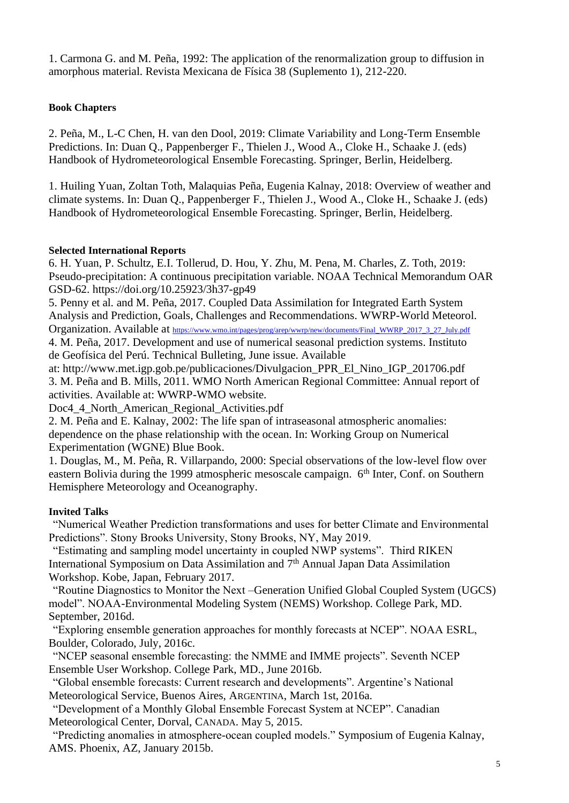1. Carmona G. and M. Peña, 1992: The application of the renormalization group to diffusion in amorphous material. Revista Mexicana de Física 38 (Suplemento 1), 212-220.

# **Book Chapters**

2. Peña, M., L-C Chen, H. van den Dool, 2019: Climate Variability and Long-Term Ensemble Predictions. In: Duan Q., Pappenberger F., Thielen J., Wood A., Cloke H., Schaake J. (eds) Handbook of Hydrometeorological Ensemble Forecasting. Springer, Berlin, Heidelberg.

1. Huiling Yuan, Zoltan Toth, Malaquias Peña, Eugenia Kalnay, 2018: Overview of weather and climate systems. In: Duan Q., Pappenberger F., Thielen J., Wood A., Cloke H., Schaake J. (eds) Handbook of Hydrometeorological Ensemble Forecasting. Springer, Berlin, Heidelberg.

# **Selected International Reports**

6. H. Yuan, P. Schultz, E.I. Tollerud, D. Hou, Y. Zhu, M. Pena, M. Charles, Z. Toth, 2019: Pseudo-precipitation: A continuous precipitation variable. NOAA Technical Memorandum OAR GSD-62. https://doi.org/10.25923/3h37-gp49

5. Penny et al. and M. Peña, 2017. Coupled Data Assimilation for Integrated Earth System Analysis and Prediction, Goals, Challenges and Recommendations. WWRP-World Meteorol. Organization. Available at [https://www.wmo.int/pages/prog/arep/wwrp/new/documents/Final\\_WWRP\\_2017\\_3\\_27\\_July.pdf](https://www.wmo.int/pages/prog/arep/wwrp/new/documents/Final_WWRP_2017_3_27_July.pdf)

4. M. Peña, 2017. Development and use of numerical seasonal prediction systems. Instituto de Geofísica del Perú. Technical Bulleting, June issue. Available

at: http://www.met.igp.gob.pe/publicaciones/Divulgacion\_PPR\_El\_Nino\_IGP\_201706.pdf 3. M. Peña and B. Mills, 2011. WMO North American Regional Committee: Annual report of activities. Available at: WWRP-WMO website.

Doc4\_4\_North\_American\_Regional\_Activities.pdf

2. M. Peña and E. Kalnay, 2002: The life span of intraseasonal atmospheric anomalies: dependence on the phase relationship with the ocean. In: Working Group on Numerical Experimentation (WGNE) Blue Book.

1. Douglas, M., M. Peña, R. Villarpando, 2000: Special observations of the low-level flow over eastern Bolivia during the 1999 atmospheric mesoscale campaign. 6<sup>th</sup> Inter, Conf. on Southern Hemisphere Meteorology and Oceanography.

# **Invited Talks**

"Numerical Weather Prediction transformations and uses for better Climate and Environmental Predictions". Stony Brooks University, Stony Brooks, NY, May 2019.

"Estimating and sampling model uncertainty in coupled NWP systems". Third RIKEN International Symposium on Data Assimilation and 7th Annual Japan Data Assimilation Workshop. Kobe, Japan, February 2017.

"Routine Diagnostics to Monitor the Next –Generation Unified Global Coupled System (UGCS) model". NOAA-Environmental Modeling System (NEMS) Workshop. College Park, MD. September, 2016d.

"Exploring ensemble generation approaches for monthly forecasts at NCEP". NOAA ESRL, Boulder, Colorado, July, 2016c.

"NCEP seasonal ensemble forecasting: the NMME and IMME projects". Seventh NCEP Ensemble User Workshop. College Park, MD., June 2016b*.*

"Global ensemble forecasts: Current research and developments". Argentine's National Meteorological Service, Buenos Aires, ARGENTINA, March 1st, 2016a.

"Development of a Monthly Global Ensemble Forecast System at NCEP". Canadian Meteorological Center, Dorval, CANADA. May 5, 2015.

"Predicting anomalies in atmosphere-ocean coupled models." Symposium of Eugenia Kalnay, AMS. Phoenix, AZ, January 2015b.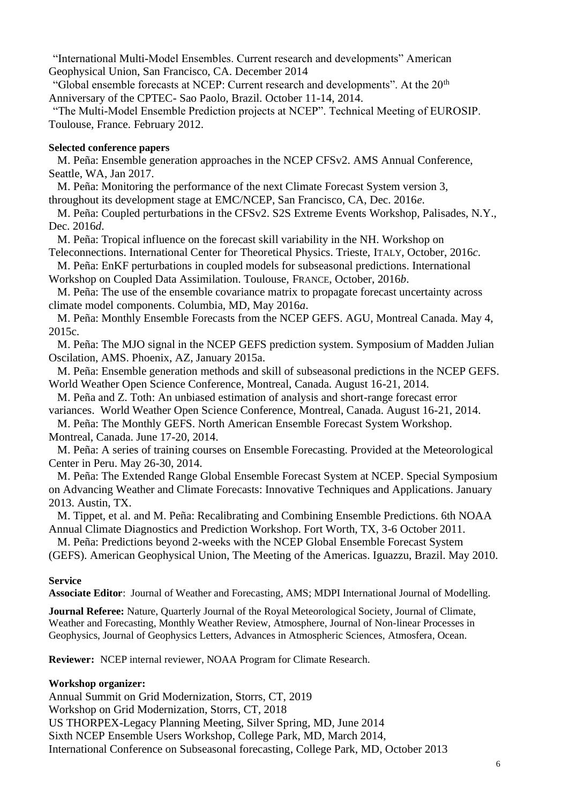"International Multi-Model Ensembles. Current research and developments" American Geophysical Union, San Francisco, CA. December 2014

"Global ensemble forecasts at NCEP: Current research and developments". At the 20<sup>th</sup> Anniversary of the CPTEC- Sao Paolo, Brazil. October 11-14, 2014.

"The Multi-Model Ensemble Prediction projects at NCEP". Technical Meeting of EUROSIP. Toulouse, France. February 2012.

#### **Selected conference papers**

M. Peña: Ensemble generation approaches in the NCEP CFSv2. AMS Annual Conference, Seattle, WA, Jan 2017.

M. Peña: Monitoring the performance of the next Climate Forecast System version 3, throughout its development stage at EMC/NCEP, San Francisco, CA, Dec. 2016*e*.

M. Peña: Coupled perturbations in the CFSv2. S2S Extreme Events Workshop, Palisades, N.Y., Dec. 2016*d*.

M. Peña: Tropical influence on the forecast skill variability in the NH. Workshop on Teleconnections. International Center for Theoretical Physics. Trieste, ITALY, October, 2016*c*.

M. Peña: EnKF perturbations in coupled models for subseasonal predictions. International Workshop on Coupled Data Assimilation. Toulouse, FRANCE, October, 2016*b*.

M. Peña: The use of the ensemble covariance matrix to propagate forecast uncertainty across

climate model components. Columbia, MD, May 2016*a*.

M. Peña: Monthly Ensemble Forecasts from the NCEP GEFS. AGU, Montreal Canada. May 4, 2015c.

M. Peña: The MJO signal in the NCEP GEFS prediction system. Symposium of Madden Julian Oscilation, AMS. Phoenix, AZ, January 2015a.

M. Peña: Ensemble generation methods and skill of subseasonal predictions in the NCEP GEFS. World Weather Open Science Conference, Montreal, Canada. August 16-21, 2014.

M. Peña and Z. Toth: An unbiased estimation of analysis and short-range forecast error variances. World Weather Open Science Conference, Montreal, Canada. August 16-21, 2014.

M. Peña: The Monthly GEFS. North American Ensemble Forecast System Workshop. Montreal, Canada. June 17-20, 2014.

M. Peña: A series of training courses on Ensemble Forecasting. Provided at the Meteorological Center in Peru. May 26-30, 2014.

M. Peña: The Extended Range Global Ensemble Forecast System at NCEP. Special Symposium on Advancing Weather and Climate Forecasts: Innovative Techniques and Applications. January 2013. Austin, TX.

M. Tippet, et al. and M. Peña: Recalibrating and Combining Ensemble Predictions. 6th NOAA Annual Climate Diagnostics and Prediction Workshop. Fort Worth, TX, 3-6 October 2011.

M. Peña: Predictions beyond 2-weeks with the NCEP Global Ensemble Forecast System (GEFS). American Geophysical Union, The Meeting of the Americas. Iguazzu, Brazil. May 2010.

#### **Service**

**Associate Editor**: Journal of Weather and Forecasting, AMS; MDPI International Journal of Modelling.

**Journal Referee:** Nature, Quarterly Journal of the Royal Meteorological Society, Journal of Climate, Weather and Forecasting, Monthly Weather Review, Atmosphere, Journal of Non-linear Processes in Geophysics, Journal of Geophysics Letters, Advances in Atmospheric Sciences, Atmosfera, Ocean.

**Reviewer:** NCEP internal reviewer, NOAA Program for Climate Research.

# **Workshop organizer:**

Annual Summit on Grid Modernization, Storrs, CT, 2019

Workshop on Grid Modernization, Storrs, CT, 2018

US THORPEX-Legacy Planning Meeting, Silver Spring, MD, June 2014

Sixth NCEP Ensemble Users Workshop, College Park, MD, March 2014,

International Conference on Subseasonal forecasting, College Park, MD, October 2013